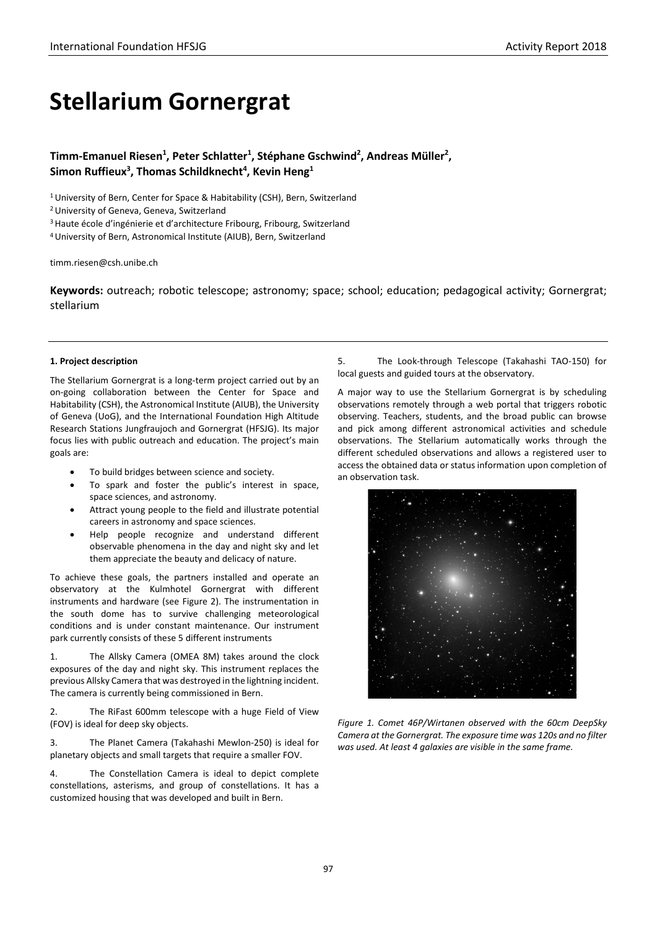# **Stellarium Gornergrat**

Timm-Emanuel Riesen<sup>1</sup>, Peter Schlatter<sup>1</sup>, Stéphane Gschwind<sup>2</sup>, Andreas Müller<sup>2</sup>, Simon Ruffieux<sup>3</sup>, Thomas Schildknecht<sup>4</sup>, Kevin Heng<sup>1</sup>

<sup>1</sup> University of Bern, Center for Space & Habitability (CSH), Bern, Switzerland

2 University of Geneva, Geneva, Switzerland

3 Haute école d'ingénierie et d'architecture Fribourg, Fribourg, Switzerland

4University of Bern, Astronomical Institute (AIUB), Bern, Switzerland

timm.riesen@csh.unibe.ch

**Keywords:** outreach; robotic telescope; astronomy; space; school; education; pedagogical activity; Gornergrat; stellarium

#### **1. Project description**

The Stellarium Gornergrat is a long-term project carried out by an on-going collaboration between the Center for Space and Habitability (CSH), the Astronomical Institute (AIUB), the University of Geneva (UoG), and the International Foundation High Altitude Research Stations Jungfraujoch and Gornergrat (HFSJG). Its major focus lies with public outreach and education. The project's main goals are:

- To build bridges between science and society.
- To spark and foster the public's interest in space, space sciences, and astronomy.
- Attract young people to the field and illustrate potential careers in astronomy and space sciences.
- Help people recognize and understand different observable phenomena in the day and night sky and let them appreciate the beauty and delicacy of nature.

To achieve these goals, the partners installed and operate an observatory at the Kulmhotel Gornergrat with different instruments and hardware (see Figure 2). The instrumentation in the south dome has to survive challenging meteorological conditions and is under constant maintenance. Our instrument park currently consists of these 5 different instruments

1. The Allsky Camera (OMEA 8M) takes around the clock exposures of the day and night sky. This instrument replaces the previous Allsky Camera that was destroyed in the lightning incident. The camera is currently being commissioned in Bern.

2. The RiFast 600mm telescope with a huge Field of View (FOV) is ideal for deep sky objects.

3. The Planet Camera (Takahashi Mewlon-250) is ideal for planetary objects and small targets that require a smaller FOV.

4. The Constellation Camera is ideal to depict complete constellations, asterisms, and group of constellations. It has a customized housing that was developed and built in Bern.

5. The Look-through Telescope (Takahashi TAO-150) for local guests and guided tours at the observatory.

A major way to use the Stellarium Gornergrat is by scheduling observations remotely through a web portal that triggers robotic observing. Teachers, students, and the broad public can browse and pick among different astronomical activities and schedule observations. The Stellarium automatically works through the different scheduled observations and allows a registered user to access the obtained data or status information upon completion of an observation task.



*Figure 1. Comet 46P/Wirtanen observed with the 60cm DeepSky Camera at the Gornergrat. The exposure time was 120s and no filter was used. At least 4 galaxies are visible in the same frame.*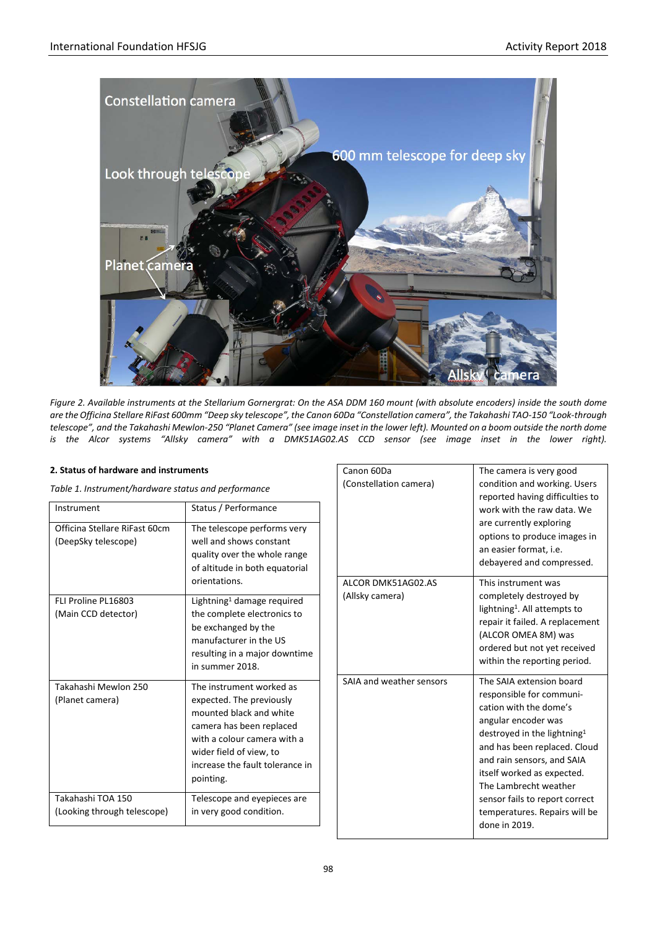

*Figure 2. Available instruments at the Stellarium Gornergrat: On the ASA DDM 160 mount (with absolute encoders) inside the south dome are the Officina Stellare RiFast 600mm "Deep sky telescope", the Canon 60Da "Constellation camera", the Takahashi TAO-150 "Look-through telescope", and the Takahashi Mewlon-250 "Planet Camera" (see image inset in the lower left). Mounted on a boom outside the north dome is the Alcor systems "Allsky camera" with a DMK51AG02.AS CCD sensor (see image inset in the lower right).*

## **2. Status of hardware and instruments**

*Table 1. Instrument/hardware status and performance*

| Instrument                                           | Status / Performance                                                                                                                                                                                                  |
|------------------------------------------------------|-----------------------------------------------------------------------------------------------------------------------------------------------------------------------------------------------------------------------|
| Officina Stellare RiFast 60cm<br>(DeepSky telescope) | The telescope performs very<br>well and shows constant<br>quality over the whole range<br>of altitude in both equatorial<br>orientations.                                                                             |
| FLI Proline PL16803<br>(Main CCD detector)           | Lightning <sup>1</sup> damage required<br>the complete electronics to<br>be exchanged by the<br>manufacturer in the US<br>resulting in a major downtime<br>in summer 2018.                                            |
| Takahashi Mewlon 250<br>(Planet camera)              | The instrument worked as<br>expected. The previously<br>mounted black and white<br>camera has been replaced<br>with a colour camera with a<br>wider field of view, to<br>increase the fault tolerance in<br>pointing. |
| Takahashi TOA 150<br>(Looking through telescope)     | Telescope and eyepieces are<br>in very good condition.                                                                                                                                                                |

| Canon 60Da<br>(Constellation camera)  | The camera is very good<br>condition and working. Users<br>reported having difficulties to<br>work with the raw data. We<br>are currently exploring<br>options to produce images in<br>an easier format, i.e.<br>debayered and compressed.                                                                                                                |
|---------------------------------------|-----------------------------------------------------------------------------------------------------------------------------------------------------------------------------------------------------------------------------------------------------------------------------------------------------------------------------------------------------------|
| ALCOR DMK51AG02.AS<br>(Allsky camera) | This instrument was<br>completely destroyed by<br>lightning <sup>1</sup> . All attempts to<br>repair it failed. A replacement<br>(ALCOR OMEA 8M) was<br>ordered but not yet received<br>within the reporting period.                                                                                                                                      |
| SAIA and weather sensors              | The SAIA extension board<br>responsible for communi-<br>cation with the dome's<br>angular encoder was<br>destroyed in the lightning <sup>1</sup><br>and has been replaced. Cloud<br>and rain sensors, and SAIA<br>itself worked as expected.<br>The Lambrecht weather<br>sensor fails to report correct<br>temperatures. Repairs will be<br>done in 2019. |